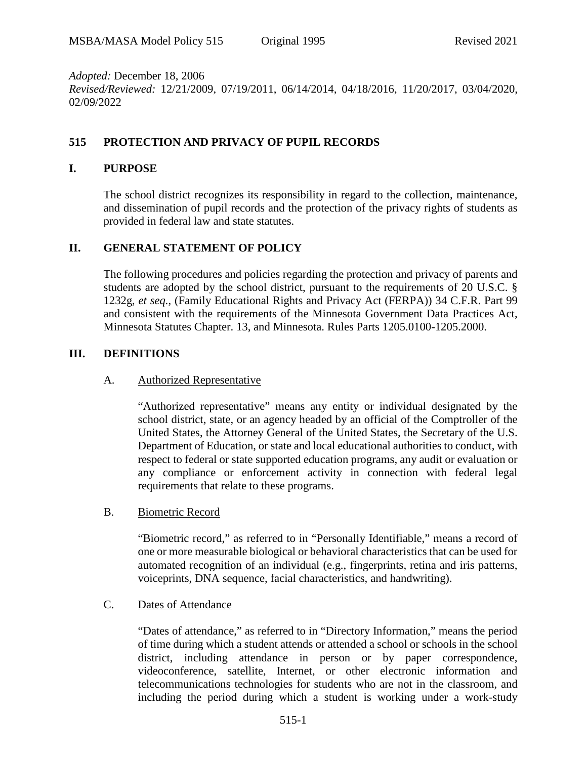*Adopted:* December 18, 2006 *Revised/Reviewed:* 12/21/2009, 07/19/2011, 06/14/2014, 04/18/2016, 11/20/2017, 03/04/2020, 02/09/2022

## **515 PROTECTION AND PRIVACY OF PUPIL RECORDS**

### **I. PURPOSE**

The school district recognizes its responsibility in regard to the collection, maintenance, and dissemination of pupil records and the protection of the privacy rights of students as provided in federal law and state statutes.

### **II. GENERAL STATEMENT OF POLICY**

The following procedures and policies regarding the protection and privacy of parents and students are adopted by the school district, pursuant to the requirements of 20 U.S.C. § 1232g, *et seq.*, (Family Educational Rights and Privacy Act (FERPA)) 34 C.F.R. Part 99 and consistent with the requirements of the Minnesota Government Data Practices Act, Minnesota Statutes Chapter. 13, and Minnesota. Rules Parts 1205.0100-1205.2000.

### **III. DEFINITIONS**

#### A. Authorized Representative

"Authorized representative" means any entity or individual designated by the school district, state, or an agency headed by an official of the Comptroller of the United States, the Attorney General of the United States, the Secretary of the U.S. Department of Education, or state and local educational authorities to conduct, with respect to federal or state supported education programs, any audit or evaluation or any compliance or enforcement activity in connection with federal legal requirements that relate to these programs.

B. Biometric Record

"Biometric record," as referred to in "Personally Identifiable," means a record of one or more measurable biological or behavioral characteristics that can be used for automated recognition of an individual (e.g., fingerprints, retina and iris patterns, voiceprints, DNA sequence, facial characteristics, and handwriting).

#### C. Dates of Attendance

"Dates of attendance," as referred to in "Directory Information," means the period of time during which a student attends or attended a school or schools in the school district, including attendance in person or by paper correspondence, videoconference, satellite, Internet, or other electronic information and telecommunications technologies for students who are not in the classroom, and including the period during which a student is working under a work-study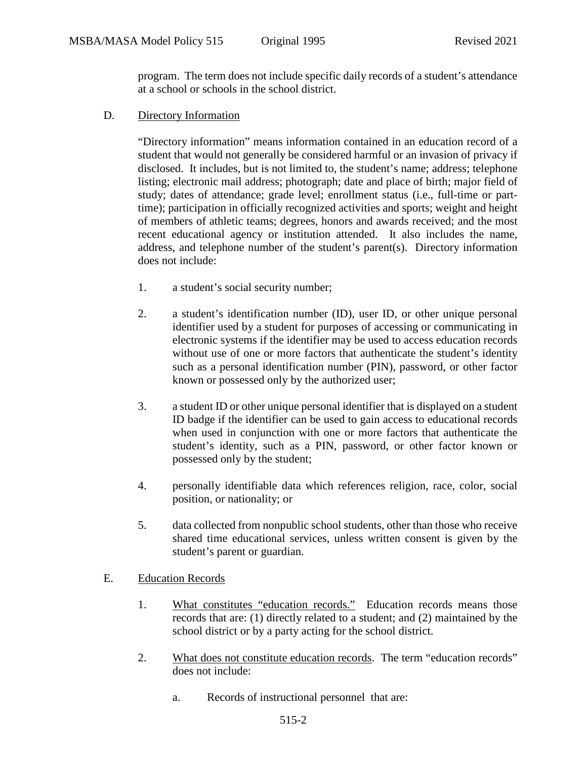program. The term does not include specific daily records of a student's attendance at a school or schools in the school district.

D. Directory Information

"Directory information" means information contained in an education record of a student that would not generally be considered harmful or an invasion of privacy if disclosed. It includes, but is not limited to, the student's name; address; telephone listing; electronic mail address; photograph; date and place of birth; major field of study; dates of attendance; grade level; enrollment status (i.e., full-time or parttime); participation in officially recognized activities and sports; weight and height of members of athletic teams; degrees, honors and awards received; and the most recent educational agency or institution attended. It also includes the name, address, and telephone number of the student's parent(s). Directory information does not include:

- 1. a student's social security number;
- 2. a student's identification number (ID), user ID, or other unique personal identifier used by a student for purposes of accessing or communicating in electronic systems if the identifier may be used to access education records without use of one or more factors that authenticate the student's identity such as a personal identification number (PIN), password, or other factor known or possessed only by the authorized user;
- 3. a student ID or other unique personal identifier that is displayed on a student ID badge if the identifier can be used to gain access to educational records when used in conjunction with one or more factors that authenticate the student's identity, such as a PIN, password, or other factor known or possessed only by the student;
- 4. personally identifiable data which references religion, race, color, social position, or nationality; or
- 5. data collected from nonpublic school students, other than those who receive shared time educational services, unless written consent is given by the student's parent or guardian.

## E. Education Records

- 1. What constitutes "education records." Education records means those records that are: (1) directly related to a student; and (2) maintained by the school district or by a party acting for the school district.
- 2. What does not constitute education records. The term "education records" does not include:
	- a. Records of instructional personnel that are: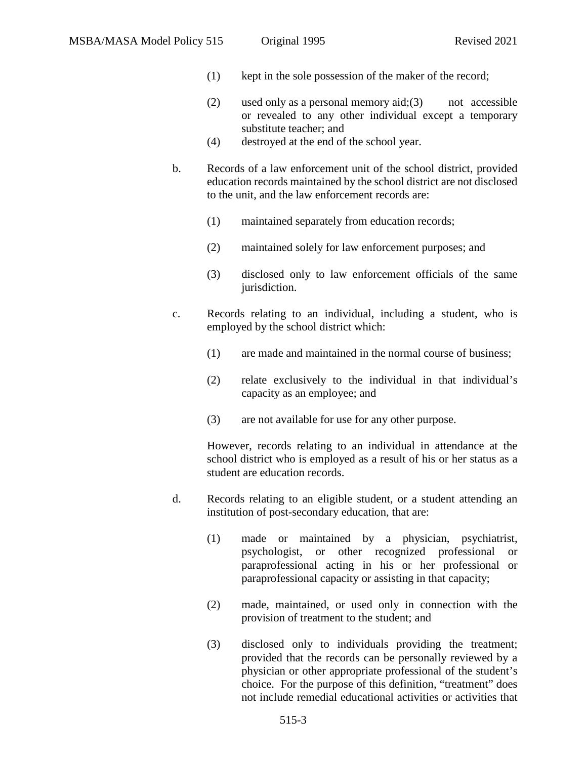- (1) kept in the sole possession of the maker of the record;
- (2) used only as a personal memory  $aid:(3)$  not accessible or revealed to any other individual except a temporary substitute teacher; and
- (4) destroyed at the end of the school year.
- b. Records of a law enforcement unit of the school district, provided education records maintained by the school district are not disclosed to the unit, and the law enforcement records are:
	- (1) maintained separately from education records;
	- (2) maintained solely for law enforcement purposes; and
	- (3) disclosed only to law enforcement officials of the same jurisdiction.
- c. Records relating to an individual, including a student, who is employed by the school district which:
	- (1) are made and maintained in the normal course of business;
	- (2) relate exclusively to the individual in that individual's capacity as an employee; and
	- (3) are not available for use for any other purpose.

However, records relating to an individual in attendance at the school district who is employed as a result of his or her status as a student are education records.

- d. Records relating to an eligible student, or a student attending an institution of post-secondary education, that are:
	- (1) made or maintained by a physician, psychiatrist, psychologist, or other recognized professional or paraprofessional acting in his or her professional or paraprofessional capacity or assisting in that capacity;
	- (2) made, maintained, or used only in connection with the provision of treatment to the student; and
	- (3) disclosed only to individuals providing the treatment; provided that the records can be personally reviewed by a physician or other appropriate professional of the student's choice. For the purpose of this definition, "treatment" does not include remedial educational activities or activities that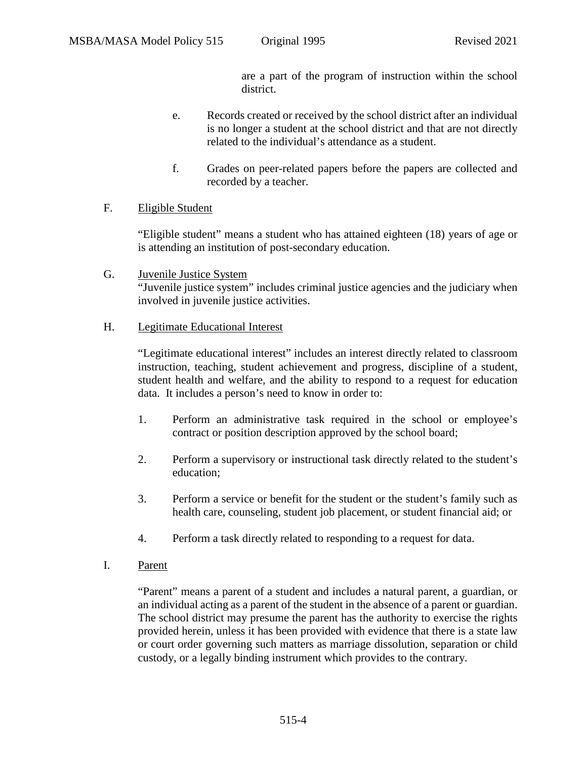are a part of the program of instruction within the school district.

- e. Records created or received by the school district after an individual is no longer a student at the school district and that are not directly related to the individual's attendance as a student.
- f. Grades on peer-related papers before the papers are collected and recorded by a teacher.

## F. Eligible Student

"Eligible student" means a student who has attained eighteen (18) years of age or is attending an institution of post-secondary education.

G. Juvenile Justice System "Juvenile justice system" includes criminal justice agencies and the judiciary when involved in juvenile justice activities.

## H. Legitimate Educational Interest

"Legitimate educational interest" includes an interest directly related to classroom instruction, teaching, student achievement and progress, discipline of a student, student health and welfare, and the ability to respond to a request for education data. It includes a person's need to know in order to:

- 1. Perform an administrative task required in the school or employee's contract or position description approved by the school board;
- 2. Perform a supervisory or instructional task directly related to the student's education;
- 3. Perform a service or benefit for the student or the student's family such as health care, counseling, student job placement, or student financial aid; or
- 4. Perform a task directly related to responding to a request for data.
- I. Parent

"Parent" means a parent of a student and includes a natural parent, a guardian, or an individual acting as a parent of the student in the absence of a parent or guardian. The school district may presume the parent has the authority to exercise the rights provided herein, unless it has been provided with evidence that there is a state law or court order governing such matters as marriage dissolution, separation or child custody, or a legally binding instrument which provides to the contrary.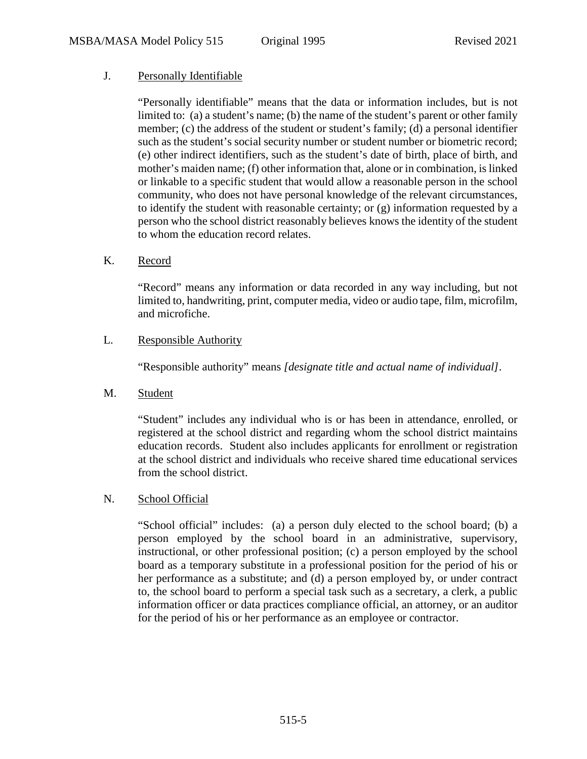## J. Personally Identifiable

"Personally identifiable" means that the data or information includes, but is not limited to: (a) a student's name; (b) the name of the student's parent or other family member; (c) the address of the student or student's family; (d) a personal identifier such as the student's social security number or student number or biometric record; (e) other indirect identifiers, such as the student's date of birth, place of birth, and mother's maiden name; (f) other information that, alone or in combination, is linked or linkable to a specific student that would allow a reasonable person in the school community, who does not have personal knowledge of the relevant circumstances, to identify the student with reasonable certainty; or (g) information requested by a person who the school district reasonably believes knows the identity of the student to whom the education record relates.

### K. Record

"Record" means any information or data recorded in any way including, but not limited to, handwriting, print, computer media, video or audio tape, film, microfilm, and microfiche.

### L. Responsible Authority

"Responsible authority" means *[designate title and actual name of individual]*.

#### M. Student

"Student" includes any individual who is or has been in attendance, enrolled, or registered at the school district and regarding whom the school district maintains education records. Student also includes applicants for enrollment or registration at the school district and individuals who receive shared time educational services from the school district.

#### N. School Official

"School official" includes: (a) a person duly elected to the school board; (b) a person employed by the school board in an administrative, supervisory, instructional, or other professional position; (c) a person employed by the school board as a temporary substitute in a professional position for the period of his or her performance as a substitute; and (d) a person employed by, or under contract to, the school board to perform a special task such as a secretary, a clerk, a public information officer or data practices compliance official, an attorney, or an auditor for the period of his or her performance as an employee or contractor.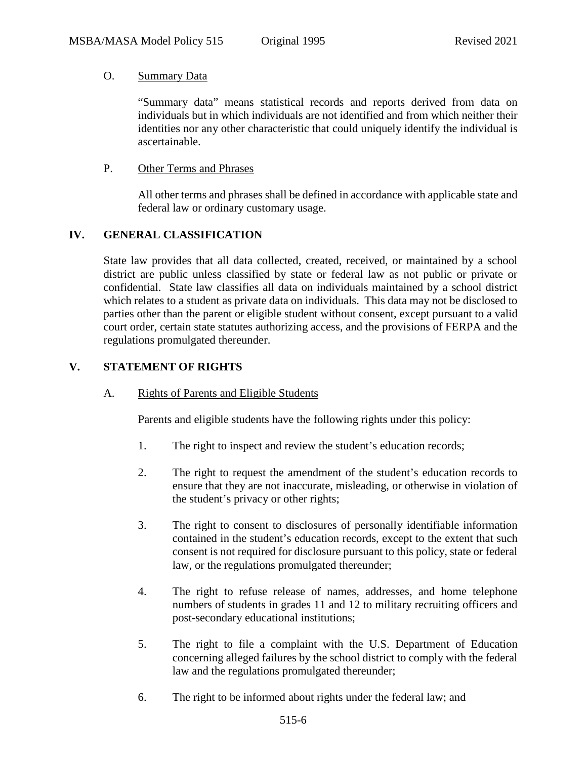### O. Summary Data

"Summary data" means statistical records and reports derived from data on individuals but in which individuals are not identified and from which neither their identities nor any other characteristic that could uniquely identify the individual is ascertainable.

### P. Other Terms and Phrases

All other terms and phrases shall be defined in accordance with applicable state and federal law or ordinary customary usage.

# **IV. GENERAL CLASSIFICATION**

State law provides that all data collected, created, received, or maintained by a school district are public unless classified by state or federal law as not public or private or confidential. State law classifies all data on individuals maintained by a school district which relates to a student as private data on individuals. This data may not be disclosed to parties other than the parent or eligible student without consent, except pursuant to a valid court order, certain state statutes authorizing access, and the provisions of FERPA and the regulations promulgated thereunder.

## **V. STATEMENT OF RIGHTS**

A. Rights of Parents and Eligible Students

Parents and eligible students have the following rights under this policy:

- 1. The right to inspect and review the student's education records;
- 2. The right to request the amendment of the student's education records to ensure that they are not inaccurate, misleading, or otherwise in violation of the student's privacy or other rights;
- 3. The right to consent to disclosures of personally identifiable information contained in the student's education records, except to the extent that such consent is not required for disclosure pursuant to this policy, state or federal law, or the regulations promulgated thereunder;
- 4. The right to refuse release of names, addresses, and home telephone numbers of students in grades 11 and 12 to military recruiting officers and post-secondary educational institutions;
- 5. The right to file a complaint with the U.S. Department of Education concerning alleged failures by the school district to comply with the federal law and the regulations promulgated thereunder;
- 6. The right to be informed about rights under the federal law; and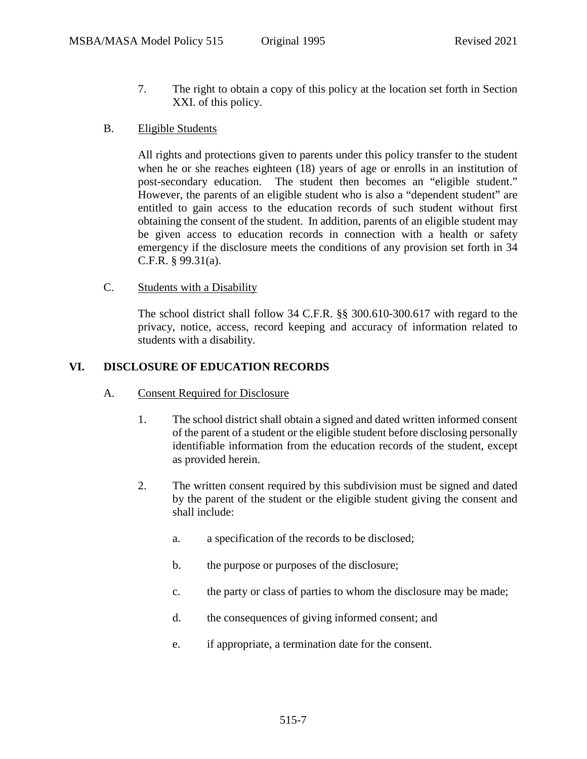- 7. The right to obtain a copy of this policy at the location set forth in Section XXI. of this policy.
- B. Eligible Students

All rights and protections given to parents under this policy transfer to the student when he or she reaches eighteen (18) years of age or enrolls in an institution of post-secondary education. The student then becomes an "eligible student." However, the parents of an eligible student who is also a "dependent student" are entitled to gain access to the education records of such student without first obtaining the consent of the student. In addition, parents of an eligible student may be given access to education records in connection with a health or safety emergency if the disclosure meets the conditions of any provision set forth in 34 C.F.R. § 99.31(a).

### C. Students with a Disability

The school district shall follow 34 C.F.R. §§ 300.610-300.617 with regard to the privacy, notice, access, record keeping and accuracy of information related to students with a disability.

## **VI. DISCLOSURE OF EDUCATION RECORDS**

- A. Consent Required for Disclosure
	- 1. The school district shall obtain a signed and dated written informed consent of the parent of a student or the eligible student before disclosing personally identifiable information from the education records of the student, except as provided herein.
	- 2. The written consent required by this subdivision must be signed and dated by the parent of the student or the eligible student giving the consent and shall include:
		- a. a specification of the records to be disclosed;
		- b. the purpose or purposes of the disclosure;
		- c. the party or class of parties to whom the disclosure may be made;
		- d. the consequences of giving informed consent; and
		- e. if appropriate, a termination date for the consent.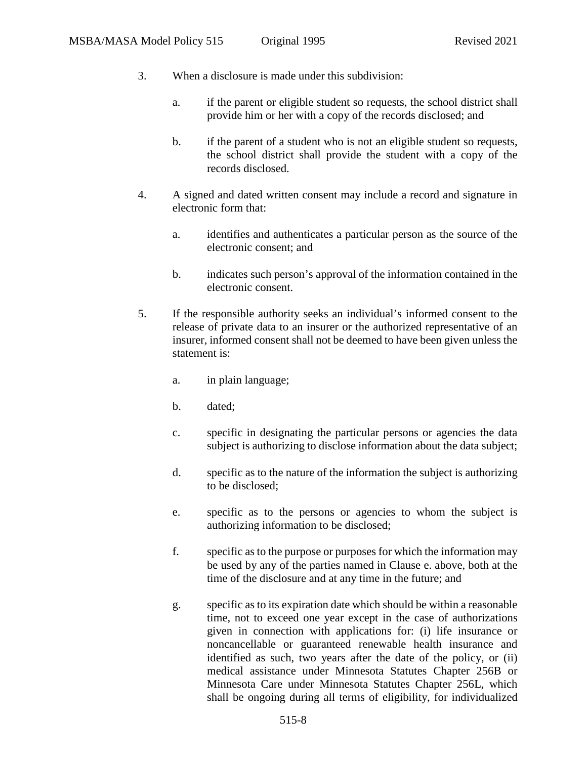- 3. When a disclosure is made under this subdivision:
	- a. if the parent or eligible student so requests, the school district shall provide him or her with a copy of the records disclosed; and
	- b. if the parent of a student who is not an eligible student so requests, the school district shall provide the student with a copy of the records disclosed.
- 4. A signed and dated written consent may include a record and signature in electronic form that:
	- a. identifies and authenticates a particular person as the source of the electronic consent; and
	- b. indicates such person's approval of the information contained in the electronic consent.
- 5. If the responsible authority seeks an individual's informed consent to the release of private data to an insurer or the authorized representative of an insurer, informed consent shall not be deemed to have been given unless the statement is:
	- a. in plain language;
	- b. dated;
	- c. specific in designating the particular persons or agencies the data subject is authorizing to disclose information about the data subject;
	- d. specific as to the nature of the information the subject is authorizing to be disclosed;
	- e. specific as to the persons or agencies to whom the subject is authorizing information to be disclosed;
	- f. specific as to the purpose or purposes for which the information may be used by any of the parties named in Clause e. above, both at the time of the disclosure and at any time in the future; and
	- g. specific as to its expiration date which should be within a reasonable time, not to exceed one year except in the case of authorizations given in connection with applications for: (i) life insurance or noncancellable or guaranteed renewable health insurance and identified as such, two years after the date of the policy, or (ii) medical assistance under Minnesota Statutes Chapter 256B or Minnesota Care under Minnesota Statutes Chapter 256L, which shall be ongoing during all terms of eligibility, for individualized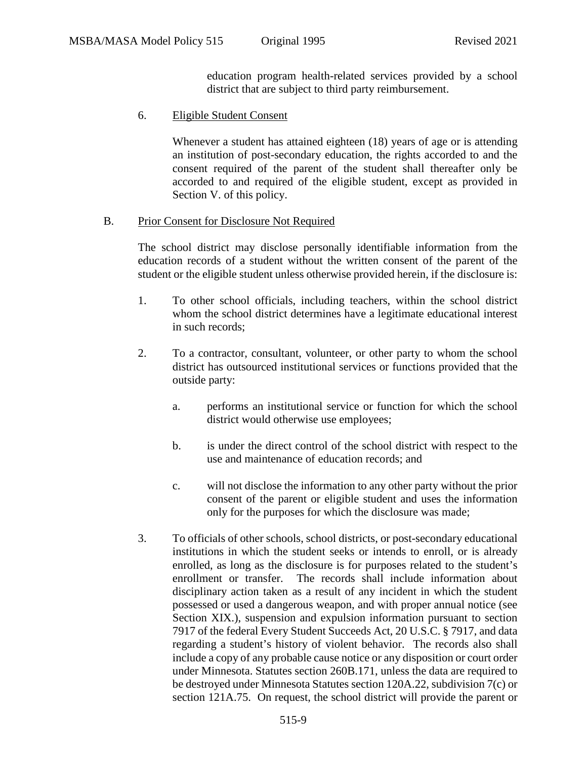education program health-related services provided by a school district that are subject to third party reimbursement.

### 6. Eligible Student Consent

Whenever a student has attained eighteen (18) years of age or is attending an institution of post-secondary education, the rights accorded to and the consent required of the parent of the student shall thereafter only be accorded to and required of the eligible student, except as provided in Section V. of this policy.

### B. Prior Consent for Disclosure Not Required

The school district may disclose personally identifiable information from the education records of a student without the written consent of the parent of the student or the eligible student unless otherwise provided herein, if the disclosure is:

- 1. To other school officials, including teachers, within the school district whom the school district determines have a legitimate educational interest in such records;
- 2. To a contractor, consultant, volunteer, or other party to whom the school district has outsourced institutional services or functions provided that the outside party:
	- a. performs an institutional service or function for which the school district would otherwise use employees;
	- b. is under the direct control of the school district with respect to the use and maintenance of education records; and
	- c. will not disclose the information to any other party without the prior consent of the parent or eligible student and uses the information only for the purposes for which the disclosure was made;
- 3. To officials of other schools, school districts, or post-secondary educational institutions in which the student seeks or intends to enroll, or is already enrolled, as long as the disclosure is for purposes related to the student's enrollment or transfer. The records shall include information about disciplinary action taken as a result of any incident in which the student possessed or used a dangerous weapon, and with proper annual notice (see Section XIX.), suspension and expulsion information pursuant to section 7917 of the federal Every Student Succeeds Act, 20 U.S.C. § 7917, and data regarding a student's history of violent behavior. The records also shall include a copy of any probable cause notice or any disposition or court order under Minnesota. Statutes section 260B.171, unless the data are required to be destroyed under Minnesota Statutes section 120A.22, subdivision 7(c) or section 121A.75. On request, the school district will provide the parent or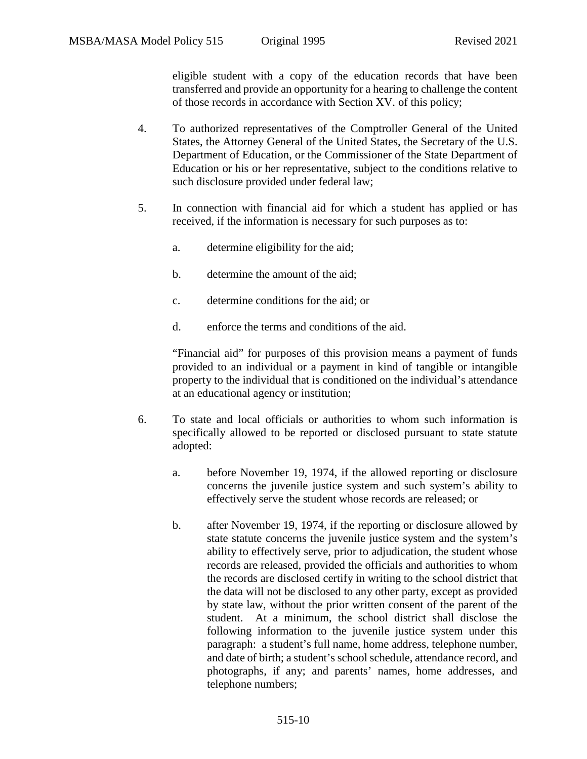eligible student with a copy of the education records that have been transferred and provide an opportunity for a hearing to challenge the content of those records in accordance with Section XV. of this policy;

- 4. To authorized representatives of the Comptroller General of the United States, the Attorney General of the United States, the Secretary of the U.S. Department of Education, or the Commissioner of the State Department of Education or his or her representative, subject to the conditions relative to such disclosure provided under federal law;
- 5. In connection with financial aid for which a student has applied or has received, if the information is necessary for such purposes as to:
	- a. determine eligibility for the aid;
	- b. determine the amount of the aid;
	- c. determine conditions for the aid; or
	- d. enforce the terms and conditions of the aid.

"Financial aid" for purposes of this provision means a payment of funds provided to an individual or a payment in kind of tangible or intangible property to the individual that is conditioned on the individual's attendance at an educational agency or institution;

- 6. To state and local officials or authorities to whom such information is specifically allowed to be reported or disclosed pursuant to state statute adopted:
	- a. before November 19, 1974, if the allowed reporting or disclosure concerns the juvenile justice system and such system's ability to effectively serve the student whose records are released; or
	- b. after November 19, 1974, if the reporting or disclosure allowed by state statute concerns the juvenile justice system and the system's ability to effectively serve, prior to adjudication, the student whose records are released, provided the officials and authorities to whom the records are disclosed certify in writing to the school district that the data will not be disclosed to any other party, except as provided by state law, without the prior written consent of the parent of the student. At a minimum, the school district shall disclose the following information to the juvenile justice system under this paragraph: a student's full name, home address, telephone number, and date of birth; a student's school schedule, attendance record, and photographs, if any; and parents' names, home addresses, and telephone numbers;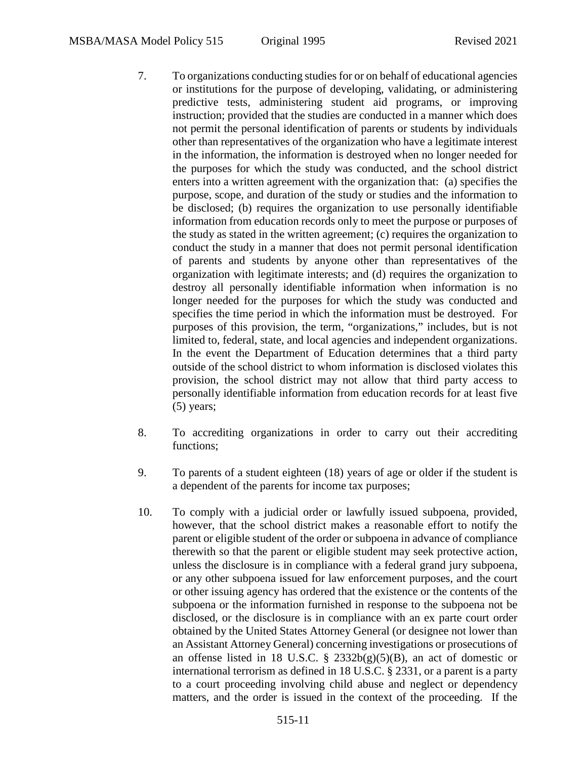- 7. To organizations conducting studies for or on behalf of educational agencies or institutions for the purpose of developing, validating, or administering predictive tests, administering student aid programs, or improving instruction; provided that the studies are conducted in a manner which does not permit the personal identification of parents or students by individuals other than representatives of the organization who have a legitimate interest in the information, the information is destroyed when no longer needed for the purposes for which the study was conducted, and the school district enters into a written agreement with the organization that: (a) specifies the purpose, scope, and duration of the study or studies and the information to be disclosed; (b) requires the organization to use personally identifiable information from education records only to meet the purpose or purposes of the study as stated in the written agreement; (c) requires the organization to conduct the study in a manner that does not permit personal identification of parents and students by anyone other than representatives of the organization with legitimate interests; and (d) requires the organization to destroy all personally identifiable information when information is no longer needed for the purposes for which the study was conducted and specifies the time period in which the information must be destroyed. For purposes of this provision, the term, "organizations," includes, but is not limited to, federal, state, and local agencies and independent organizations. In the event the Department of Education determines that a third party outside of the school district to whom information is disclosed violates this provision, the school district may not allow that third party access to personally identifiable information from education records for at least five (5) years;
- 8. To accrediting organizations in order to carry out their accrediting functions;
- 9. To parents of a student eighteen (18) years of age or older if the student is a dependent of the parents for income tax purposes;
- 10. To comply with a judicial order or lawfully issued subpoena, provided, however, that the school district makes a reasonable effort to notify the parent or eligible student of the order or subpoena in advance of compliance therewith so that the parent or eligible student may seek protective action, unless the disclosure is in compliance with a federal grand jury subpoena, or any other subpoena issued for law enforcement purposes, and the court or other issuing agency has ordered that the existence or the contents of the subpoena or the information furnished in response to the subpoena not be disclosed, or the disclosure is in compliance with an ex parte court order obtained by the United States Attorney General (or designee not lower than an Assistant Attorney General) concerning investigations or prosecutions of an offense listed in 18 U.S.C.  $\S$  2332b(g)(5)(B), an act of domestic or international terrorism as defined in 18 U.S.C. § 2331, or a parent is a party to a court proceeding involving child abuse and neglect or dependency matters, and the order is issued in the context of the proceeding. If the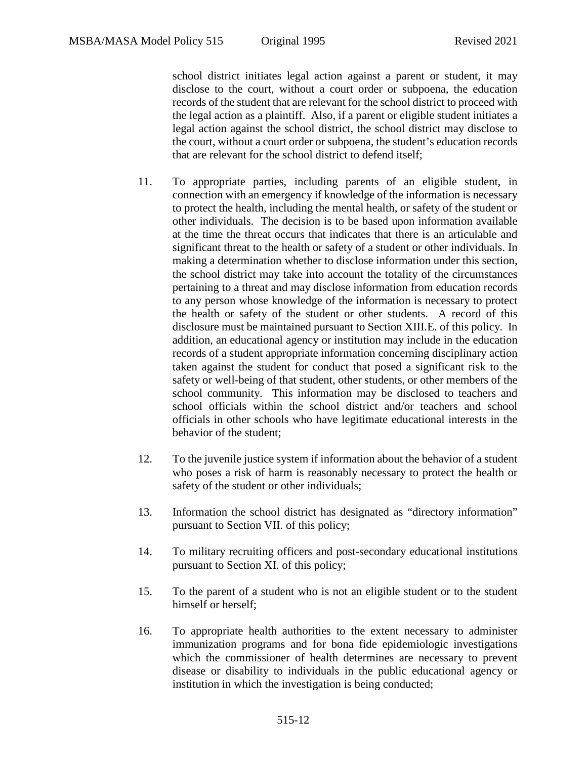school district initiates legal action against a parent or student, it may disclose to the court, without a court order or subpoena, the education records of the student that are relevant for the school district to proceed with the legal action as a plaintiff. Also, if a parent or eligible student initiates a legal action against the school district, the school district may disclose to the court, without a court order or subpoena, the student's education records that are relevant for the school district to defend itself;

- 11. To appropriate parties, including parents of an eligible student, in connection with an emergency if knowledge of the information is necessary to protect the health, including the mental health, or safety of the student or other individuals. The decision is to be based upon information available at the time the threat occurs that indicates that there is an articulable and significant threat to the health or safety of a student or other individuals. In making a determination whether to disclose information under this section, the school district may take into account the totality of the circumstances pertaining to a threat and may disclose information from education records to any person whose knowledge of the information is necessary to protect the health or safety of the student or other students. A record of this disclosure must be maintained pursuant to Section XIII.E. of this policy. In addition, an educational agency or institution may include in the education records of a student appropriate information concerning disciplinary action taken against the student for conduct that posed a significant risk to the safety or well-being of that student, other students, or other members of the school community. This information may be disclosed to teachers and school officials within the school district and/or teachers and school officials in other schools who have legitimate educational interests in the behavior of the student;
- 12. To the juvenile justice system if information about the behavior of a student who poses a risk of harm is reasonably necessary to protect the health or safety of the student or other individuals;
- 13. Information the school district has designated as "directory information" pursuant to Section VII. of this policy;
- 14. To military recruiting officers and post-secondary educational institutions pursuant to Section XI. of this policy;
- 15. To the parent of a student who is not an eligible student or to the student himself or herself;
- 16. To appropriate health authorities to the extent necessary to administer immunization programs and for bona fide epidemiologic investigations which the commissioner of health determines are necessary to prevent disease or disability to individuals in the public educational agency or institution in which the investigation is being conducted;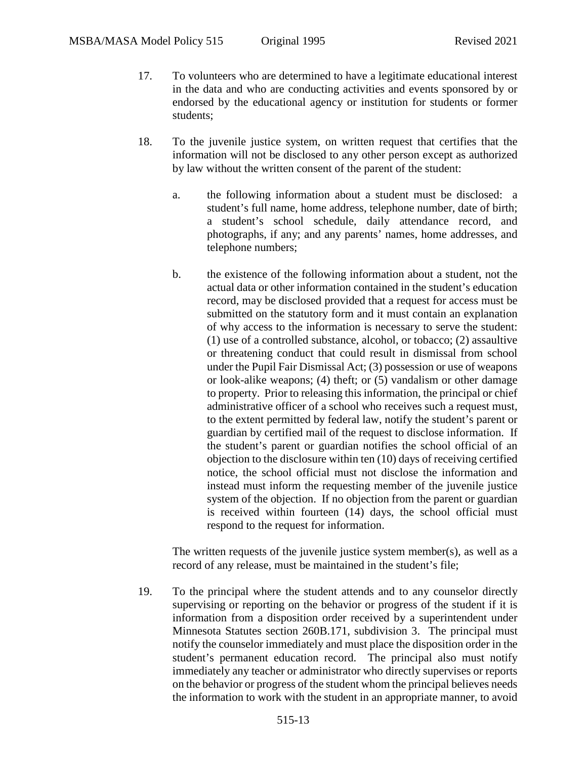- 17. To volunteers who are determined to have a legitimate educational interest in the data and who are conducting activities and events sponsored by or endorsed by the educational agency or institution for students or former students;
- 18. To the juvenile justice system, on written request that certifies that the information will not be disclosed to any other person except as authorized by law without the written consent of the parent of the student:
	- a. the following information about a student must be disclosed: a student's full name, home address, telephone number, date of birth; a student's school schedule, daily attendance record, and photographs, if any; and any parents' names, home addresses, and telephone numbers;
	- b. the existence of the following information about a student, not the actual data or other information contained in the student's education record, may be disclosed provided that a request for access must be submitted on the statutory form and it must contain an explanation of why access to the information is necessary to serve the student: (1) use of a controlled substance, alcohol, or tobacco; (2) assaultive or threatening conduct that could result in dismissal from school under the Pupil Fair Dismissal Act; (3) possession or use of weapons or look-alike weapons; (4) theft; or (5) vandalism or other damage to property. Prior to releasing this information, the principal or chief administrative officer of a school who receives such a request must, to the extent permitted by federal law, notify the student's parent or guardian by certified mail of the request to disclose information. If the student's parent or guardian notifies the school official of an objection to the disclosure within ten (10) days of receiving certified notice, the school official must not disclose the information and instead must inform the requesting member of the juvenile justice system of the objection. If no objection from the parent or guardian is received within fourteen (14) days, the school official must respond to the request for information.

The written requests of the juvenile justice system member(s), as well as a record of any release, must be maintained in the student's file;

19. To the principal where the student attends and to any counselor directly supervising or reporting on the behavior or progress of the student if it is information from a disposition order received by a superintendent under Minnesota Statutes section 260B.171, subdivision 3. The principal must notify the counselor immediately and must place the disposition order in the student's permanent education record. The principal also must notify immediately any teacher or administrator who directly supervises or reports on the behavior or progress of the student whom the principal believes needs the information to work with the student in an appropriate manner, to avoid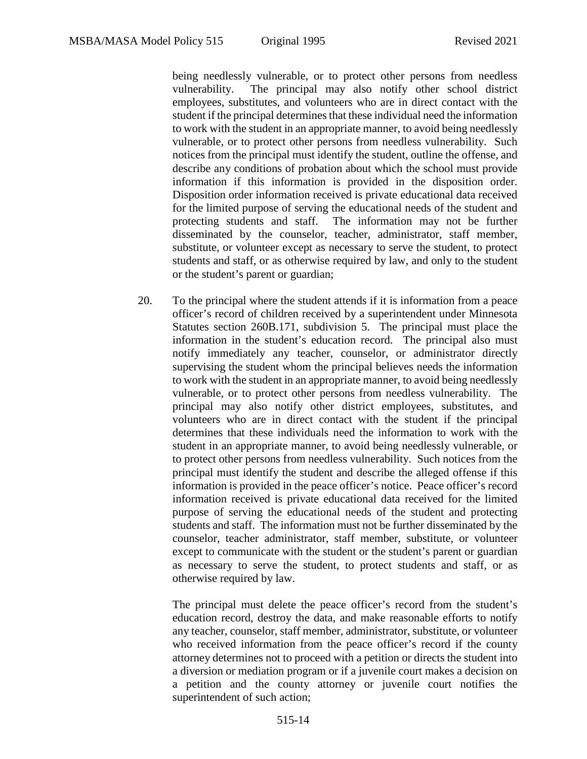being needlessly vulnerable, or to protect other persons from needless vulnerability. The principal may also notify other school district employees, substitutes, and volunteers who are in direct contact with the student if the principal determines that these individual need the information to work with the student in an appropriate manner, to avoid being needlessly vulnerable, or to protect other persons from needless vulnerability. Such notices from the principal must identify the student, outline the offense, and describe any conditions of probation about which the school must provide information if this information is provided in the disposition order. Disposition order information received is private educational data received for the limited purpose of serving the educational needs of the student and protecting students and staff. The information may not be further disseminated by the counselor, teacher, administrator, staff member, substitute, or volunteer except as necessary to serve the student, to protect students and staff, or as otherwise required by law, and only to the student or the student's parent or guardian;

20. To the principal where the student attends if it is information from a peace officer's record of children received by a superintendent under Minnesota Statutes section 260B.171, subdivision 5. The principal must place the information in the student's education record. The principal also must notify immediately any teacher, counselor, or administrator directly supervising the student whom the principal believes needs the information to work with the student in an appropriate manner, to avoid being needlessly vulnerable, or to protect other persons from needless vulnerability. The principal may also notify other district employees, substitutes, and volunteers who are in direct contact with the student if the principal determines that these individuals need the information to work with the student in an appropriate manner, to avoid being needlessly vulnerable, or to protect other persons from needless vulnerability. Such notices from the principal must identify the student and describe the alleged offense if this information is provided in the peace officer's notice. Peace officer's record information received is private educational data received for the limited purpose of serving the educational needs of the student and protecting students and staff. The information must not be further disseminated by the counselor, teacher administrator, staff member, substitute, or volunteer except to communicate with the student or the student's parent or guardian as necessary to serve the student, to protect students and staff, or as otherwise required by law.

The principal must delete the peace officer's record from the student's education record, destroy the data, and make reasonable efforts to notify any teacher, counselor, staff member, administrator, substitute, or volunteer who received information from the peace officer's record if the county attorney determines not to proceed with a petition or directs the student into a diversion or mediation program or if a juvenile court makes a decision on a petition and the county attorney or juvenile court notifies the superintendent of such action;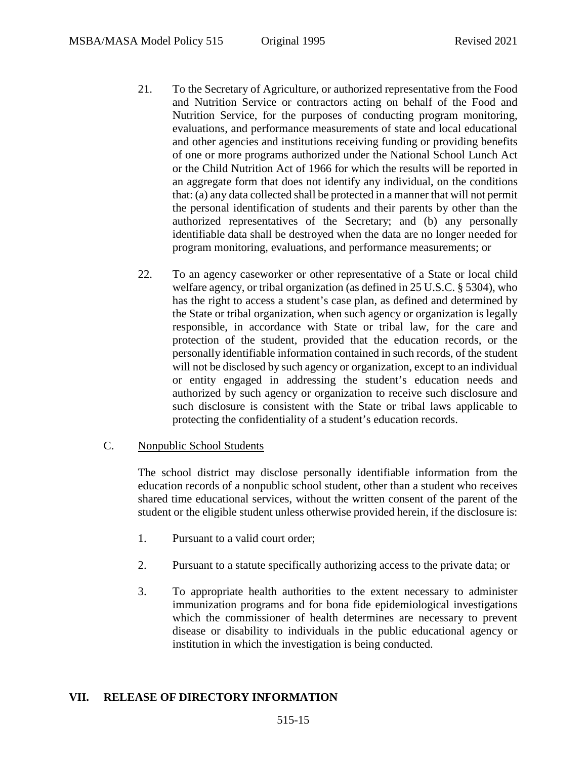- 21. To the Secretary of Agriculture, or authorized representative from the Food and Nutrition Service or contractors acting on behalf of the Food and Nutrition Service, for the purposes of conducting program monitoring, evaluations, and performance measurements of state and local educational and other agencies and institutions receiving funding or providing benefits of one or more programs authorized under the National School Lunch Act or the Child Nutrition Act of 1966 for which the results will be reported in an aggregate form that does not identify any individual, on the conditions that: (a) any data collected shall be protected in a manner that will not permit the personal identification of students and their parents by other than the authorized representatives of the Secretary; and (b) any personally identifiable data shall be destroyed when the data are no longer needed for program monitoring, evaluations, and performance measurements; or
- 22. To an agency caseworker or other representative of a State or local child welfare agency, or tribal organization (as defined in 25 U.S.C. § 5304), who has the right to access a student's case plan, as defined and determined by the State or tribal organization, when such agency or organization is legally responsible, in accordance with State or tribal law, for the care and protection of the student, provided that the education records, or the personally identifiable information contained in such records, of the student will not be disclosed by such agency or organization, except to an individual or entity engaged in addressing the student's education needs and authorized by such agency or organization to receive such disclosure and such disclosure is consistent with the State or tribal laws applicable to protecting the confidentiality of a student's education records.

#### C. Nonpublic School Students

The school district may disclose personally identifiable information from the education records of a nonpublic school student, other than a student who receives shared time educational services, without the written consent of the parent of the student or the eligible student unless otherwise provided herein, if the disclosure is:

- 1. Pursuant to a valid court order;
- 2. Pursuant to a statute specifically authorizing access to the private data; or
- 3. To appropriate health authorities to the extent necessary to administer immunization programs and for bona fide epidemiological investigations which the commissioner of health determines are necessary to prevent disease or disability to individuals in the public educational agency or institution in which the investigation is being conducted.

#### **VII. RELEASE OF DIRECTORY INFORMATION**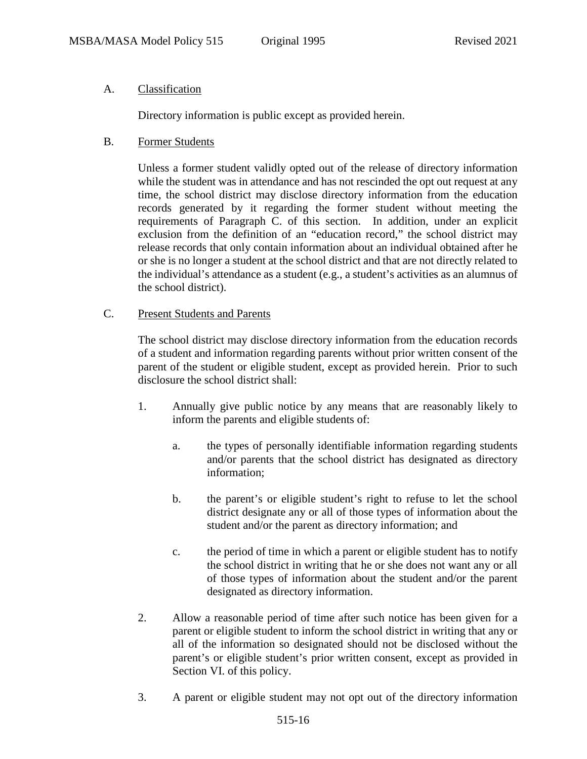## A. Classification

Directory information is public except as provided herein.

## B. Former Students

Unless a former student validly opted out of the release of directory information while the student was in attendance and has not rescinded the opt out request at any time, the school district may disclose directory information from the education records generated by it regarding the former student without meeting the requirements of Paragraph C. of this section. In addition, under an explicit exclusion from the definition of an "education record," the school district may release records that only contain information about an individual obtained after he or she is no longer a student at the school district and that are not directly related to the individual's attendance as a student (e.g., a student's activities as an alumnus of the school district).

## C. Present Students and Parents

The school district may disclose directory information from the education records of a student and information regarding parents without prior written consent of the parent of the student or eligible student, except as provided herein. Prior to such disclosure the school district shall:

- 1. Annually give public notice by any means that are reasonably likely to inform the parents and eligible students of:
	- a. the types of personally identifiable information regarding students and/or parents that the school district has designated as directory information;
	- b. the parent's or eligible student's right to refuse to let the school district designate any or all of those types of information about the student and/or the parent as directory information; and
	- c. the period of time in which a parent or eligible student has to notify the school district in writing that he or she does not want any or all of those types of information about the student and/or the parent designated as directory information.
- 2. Allow a reasonable period of time after such notice has been given for a parent or eligible student to inform the school district in writing that any or all of the information so designated should not be disclosed without the parent's or eligible student's prior written consent, except as provided in Section VI. of this policy.
- 3. A parent or eligible student may not opt out of the directory information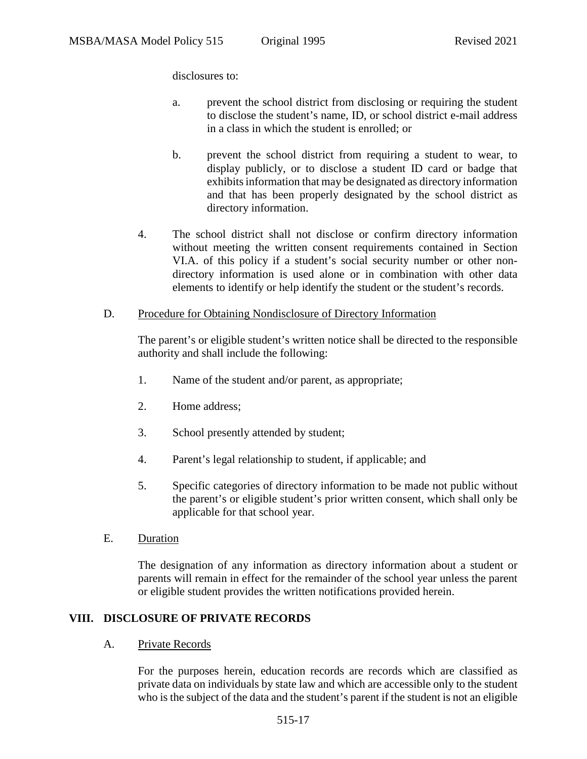disclosures to:

- a. prevent the school district from disclosing or requiring the student to disclose the student's name, ID, or school district e-mail address in a class in which the student is enrolled; or
- b. prevent the school district from requiring a student to wear, to display publicly, or to disclose a student ID card or badge that exhibits information that may be designated as directory information and that has been properly designated by the school district as directory information.
- 4. The school district shall not disclose or confirm directory information without meeting the written consent requirements contained in Section VI.A. of this policy if a student's social security number or other nondirectory information is used alone or in combination with other data elements to identify or help identify the student or the student's records.

### D. Procedure for Obtaining Nondisclosure of Directory Information

The parent's or eligible student's written notice shall be directed to the responsible authority and shall include the following:

- 1. Name of the student and/or parent, as appropriate;
- 2. Home address;
- 3. School presently attended by student;
- 4. Parent's legal relationship to student, if applicable; and
- 5. Specific categories of directory information to be made not public without the parent's or eligible student's prior written consent, which shall only be applicable for that school year.
- E. Duration

The designation of any information as directory information about a student or parents will remain in effect for the remainder of the school year unless the parent or eligible student provides the written notifications provided herein.

## **VIII. DISCLOSURE OF PRIVATE RECORDS**

A. Private Records

For the purposes herein, education records are records which are classified as private data on individuals by state law and which are accessible only to the student who is the subject of the data and the student's parent if the student is not an eligible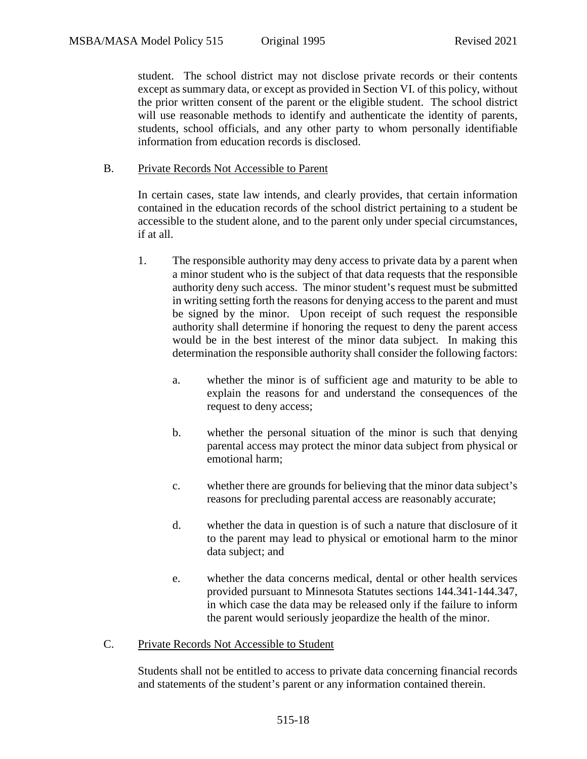student. The school district may not disclose private records or their contents except as summary data, or except as provided in Section VI. of this policy, without the prior written consent of the parent or the eligible student. The school district will use reasonable methods to identify and authenticate the identity of parents, students, school officials, and any other party to whom personally identifiable information from education records is disclosed.

#### B. Private Records Not Accessible to Parent

In certain cases, state law intends, and clearly provides, that certain information contained in the education records of the school district pertaining to a student be accessible to the student alone, and to the parent only under special circumstances, if at all.

- 1. The responsible authority may deny access to private data by a parent when a minor student who is the subject of that data requests that the responsible authority deny such access. The minor student's request must be submitted in writing setting forth the reasons for denying access to the parent and must be signed by the minor. Upon receipt of such request the responsible authority shall determine if honoring the request to deny the parent access would be in the best interest of the minor data subject. In making this determination the responsible authority shall consider the following factors:
	- a. whether the minor is of sufficient age and maturity to be able to explain the reasons for and understand the consequences of the request to deny access;
	- b. whether the personal situation of the minor is such that denying parental access may protect the minor data subject from physical or emotional harm;
	- c. whether there are grounds for believing that the minor data subject's reasons for precluding parental access are reasonably accurate;
	- d. whether the data in question is of such a nature that disclosure of it to the parent may lead to physical or emotional harm to the minor data subject; and
	- e. whether the data concerns medical, dental or other health services provided pursuant to Minnesota Statutes sections 144.341-144.347, in which case the data may be released only if the failure to inform the parent would seriously jeopardize the health of the minor.
- C. Private Records Not Accessible to Student

Students shall not be entitled to access to private data concerning financial records and statements of the student's parent or any information contained therein.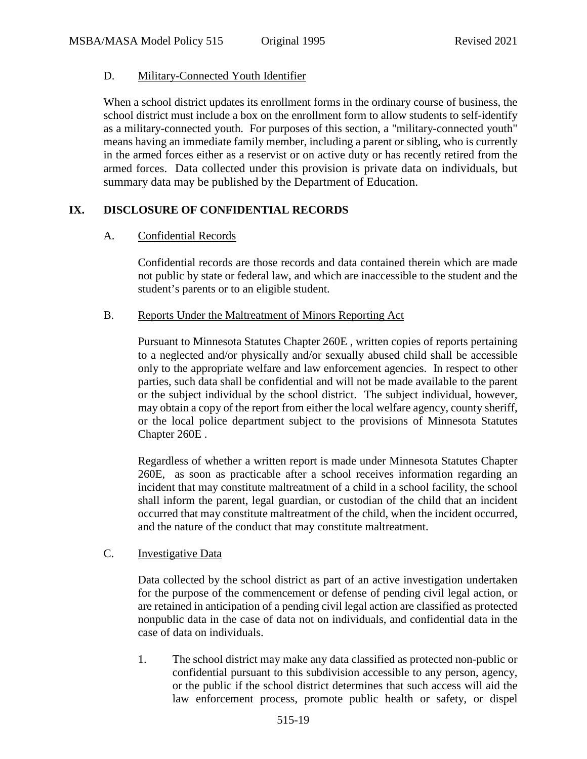## D. Military-Connected Youth Identifier

When a school district updates its enrollment forms in the ordinary course of business, the school district must include a box on the enrollment form to allow students to self-identify as a military-connected youth. For purposes of this section, a "military-connected youth" means having an immediate family member, including a parent or sibling, who is currently in the armed forces either as a reservist or on active duty or has recently retired from the armed forces. Data collected under this provision is private data on individuals, but summary data may be published by the Department of Education.

## **IX. DISCLOSURE OF CONFIDENTIAL RECORDS**

## A. Confidential Records

Confidential records are those records and data contained therein which are made not public by state or federal law, and which are inaccessible to the student and the student's parents or to an eligible student.

### B. Reports Under the Maltreatment of Minors Reporting Act

Pursuant to Minnesota Statutes Chapter 260E , written copies of reports pertaining to a neglected and/or physically and/or sexually abused child shall be accessible only to the appropriate welfare and law enforcement agencies. In respect to other parties, such data shall be confidential and will not be made available to the parent or the subject individual by the school district. The subject individual, however, may obtain a copy of the report from either the local welfare agency, county sheriff, or the local police department subject to the provisions of Minnesota Statutes Chapter 260E .

Regardless of whether a written report is made under Minnesota Statutes Chapter 260E, as soon as practicable after a school receives information regarding an incident that may constitute maltreatment of a child in a school facility, the school shall inform the parent, legal guardian, or custodian of the child that an incident occurred that may constitute maltreatment of the child, when the incident occurred, and the nature of the conduct that may constitute maltreatment.

## C. Investigative Data

Data collected by the school district as part of an active investigation undertaken for the purpose of the commencement or defense of pending civil legal action, or are retained in anticipation of a pending civil legal action are classified as protected nonpublic data in the case of data not on individuals, and confidential data in the case of data on individuals.

1. The school district may make any data classified as protected non-public or confidential pursuant to this subdivision accessible to any person, agency, or the public if the school district determines that such access will aid the law enforcement process, promote public health or safety, or dispel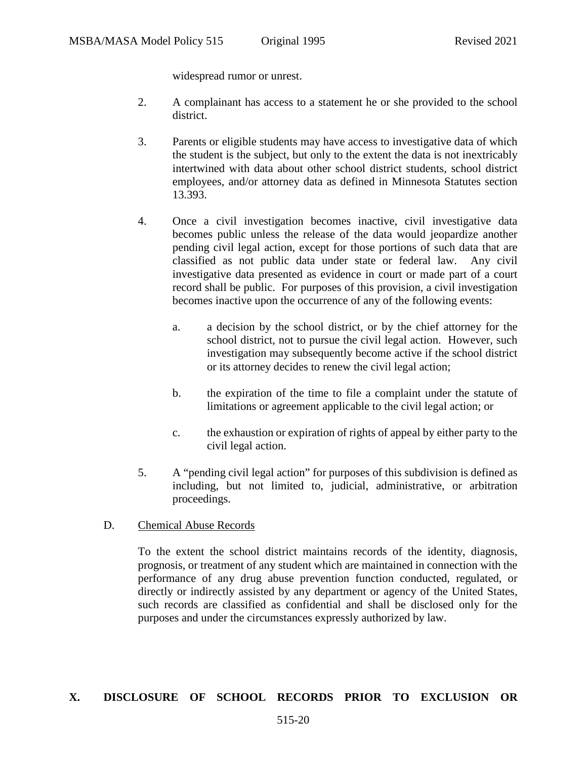widespread rumor or unrest.

- 2. A complainant has access to a statement he or she provided to the school district.
- 3. Parents or eligible students may have access to investigative data of which the student is the subject, but only to the extent the data is not inextricably intertwined with data about other school district students, school district employees, and/or attorney data as defined in Minnesota Statutes section 13.393.
- 4. Once a civil investigation becomes inactive, civil investigative data becomes public unless the release of the data would jeopardize another pending civil legal action, except for those portions of such data that are classified as not public data under state or federal law. Any civil investigative data presented as evidence in court or made part of a court record shall be public. For purposes of this provision, a civil investigation becomes inactive upon the occurrence of any of the following events:
	- a. a decision by the school district, or by the chief attorney for the school district, not to pursue the civil legal action. However, such investigation may subsequently become active if the school district or its attorney decides to renew the civil legal action;
	- b. the expiration of the time to file a complaint under the statute of limitations or agreement applicable to the civil legal action; or
	- c. the exhaustion or expiration of rights of appeal by either party to the civil legal action.
- 5. A "pending civil legal action" for purposes of this subdivision is defined as including, but not limited to, judicial, administrative, or arbitration proceedings.
- D. Chemical Abuse Records

To the extent the school district maintains records of the identity, diagnosis, prognosis, or treatment of any student which are maintained in connection with the performance of any drug abuse prevention function conducted, regulated, or directly or indirectly assisted by any department or agency of the United States, such records are classified as confidential and shall be disclosed only for the purposes and under the circumstances expressly authorized by law.

#### **X. DISCLOSURE OF SCHOOL RECORDS PRIOR TO EXCLUSION OR**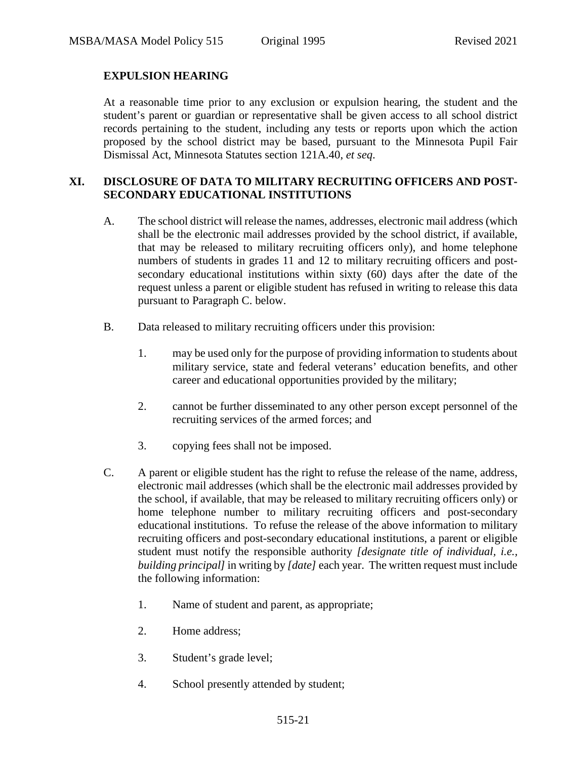## **EXPULSION HEARING**

At a reasonable time prior to any exclusion or expulsion hearing, the student and the student's parent or guardian or representative shall be given access to all school district records pertaining to the student, including any tests or reports upon which the action proposed by the school district may be based, pursuant to the Minnesota Pupil Fair Dismissal Act, Minnesota Statutes section 121A.40, *et seq*.

### **XI. DISCLOSURE OF DATA TO MILITARY RECRUITING OFFICERS AND POST-SECONDARY EDUCATIONAL INSTITUTIONS**

- A. The school district will release the names, addresses, electronic mail address (which shall be the electronic mail addresses provided by the school district, if available, that may be released to military recruiting officers only), and home telephone numbers of students in grades 11 and 12 to military recruiting officers and postsecondary educational institutions within sixty (60) days after the date of the request unless a parent or eligible student has refused in writing to release this data pursuant to Paragraph C. below.
- B. Data released to military recruiting officers under this provision:
	- 1. may be used only for the purpose of providing information to students about military service, state and federal veterans' education benefits, and other career and educational opportunities provided by the military;
	- 2. cannot be further disseminated to any other person except personnel of the recruiting services of the armed forces; and
	- 3. copying fees shall not be imposed.
- C. A parent or eligible student has the right to refuse the release of the name, address, electronic mail addresses (which shall be the electronic mail addresses provided by the school, if available, that may be released to military recruiting officers only) or home telephone number to military recruiting officers and post-secondary educational institutions. To refuse the release of the above information to military recruiting officers and post-secondary educational institutions, a parent or eligible student must notify the responsible authority *[designate title of individual, i.e., building principal]* in writing by *[date]* each year. The written request must include the following information:
	- 1. Name of student and parent, as appropriate;
	- 2. Home address;
	- 3. Student's grade level;
	- 4. School presently attended by student;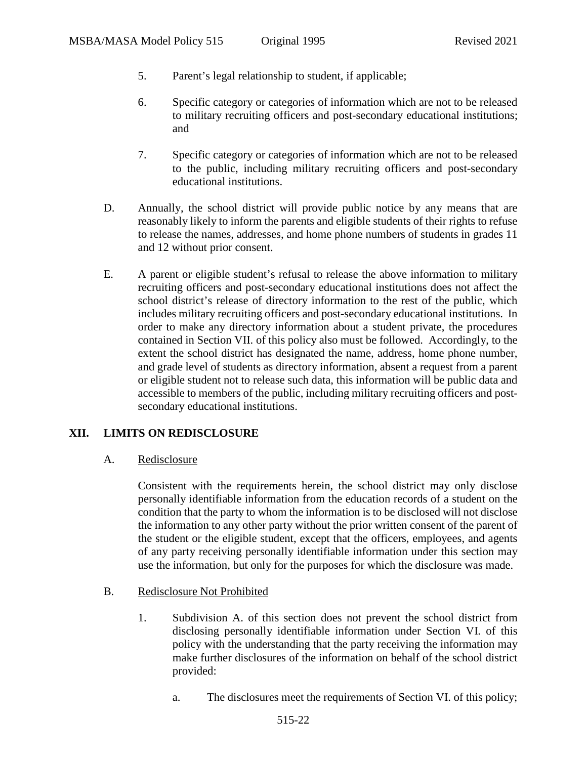- 5. Parent's legal relationship to student, if applicable;
- 6. Specific category or categories of information which are not to be released to military recruiting officers and post-secondary educational institutions; and
- 7. Specific category or categories of information which are not to be released to the public, including military recruiting officers and post-secondary educational institutions.
- D. Annually, the school district will provide public notice by any means that are reasonably likely to inform the parents and eligible students of their rights to refuse to release the names, addresses, and home phone numbers of students in grades 11 and 12 without prior consent.
- E. A parent or eligible student's refusal to release the above information to military recruiting officers and post-secondary educational institutions does not affect the school district's release of directory information to the rest of the public, which includes military recruiting officers and post-secondary educational institutions. In order to make any directory information about a student private, the procedures contained in Section VII. of this policy also must be followed. Accordingly, to the extent the school district has designated the name, address, home phone number, and grade level of students as directory information, absent a request from a parent or eligible student not to release such data, this information will be public data and accessible to members of the public, including military recruiting officers and postsecondary educational institutions.

## **XII. LIMITS ON REDISCLOSURE**

A. Redisclosure

Consistent with the requirements herein, the school district may only disclose personally identifiable information from the education records of a student on the condition that the party to whom the information is to be disclosed will not disclose the information to any other party without the prior written consent of the parent of the student or the eligible student, except that the officers, employees, and agents of any party receiving personally identifiable information under this section may use the information, but only for the purposes for which the disclosure was made.

- B. Redisclosure Not Prohibited
	- 1. Subdivision A. of this section does not prevent the school district from disclosing personally identifiable information under Section VI. of this policy with the understanding that the party receiving the information may make further disclosures of the information on behalf of the school district provided:
		- a. The disclosures meet the requirements of Section VI. of this policy;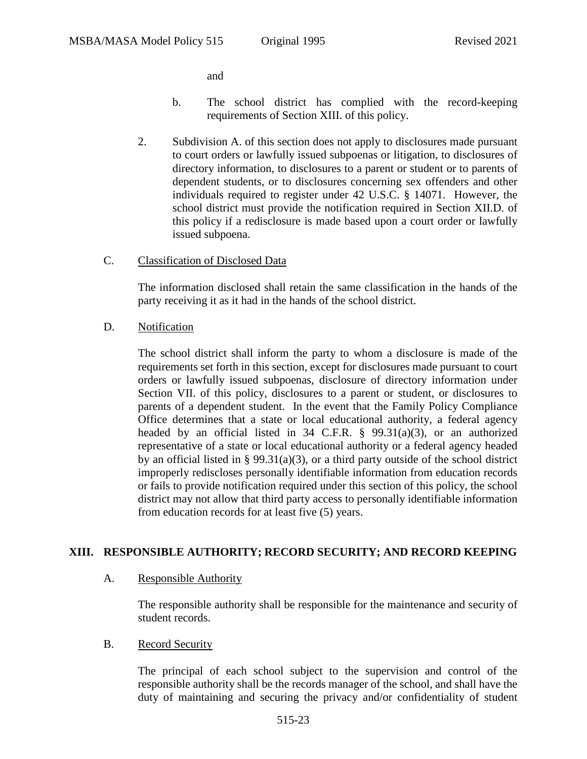and

- b. The school district has complied with the record-keeping requirements of Section XIII. of this policy.
- 2. Subdivision A. of this section does not apply to disclosures made pursuant to court orders or lawfully issued subpoenas or litigation, to disclosures of directory information, to disclosures to a parent or student or to parents of dependent students, or to disclosures concerning sex offenders and other individuals required to register under 42 U.S.C. § 14071. However, the school district must provide the notification required in Section XII.D. of this policy if a redisclosure is made based upon a court order or lawfully issued subpoena.
- C. Classification of Disclosed Data

The information disclosed shall retain the same classification in the hands of the party receiving it as it had in the hands of the school district.

D. Notification

The school district shall inform the party to whom a disclosure is made of the requirements set forth in this section, except for disclosures made pursuant to court orders or lawfully issued subpoenas, disclosure of directory information under Section VII. of this policy, disclosures to a parent or student, or disclosures to parents of a dependent student. In the event that the Family Policy Compliance Office determines that a state or local educational authority, a federal agency headed by an official listed in 34 C.F.R. § 99.31(a)(3), or an authorized representative of a state or local educational authority or a federal agency headed by an official listed in § 99.31(a)(3), or a third party outside of the school district improperly rediscloses personally identifiable information from education records or fails to provide notification required under this section of this policy, the school district may not allow that third party access to personally identifiable information from education records for at least five (5) years.

## **XIII. RESPONSIBLE AUTHORITY; RECORD SECURITY; AND RECORD KEEPING**

## A. Responsible Authority

The responsible authority shall be responsible for the maintenance and security of student records.

B. Record Security

The principal of each school subject to the supervision and control of the responsible authority shall be the records manager of the school, and shall have the duty of maintaining and securing the privacy and/or confidentiality of student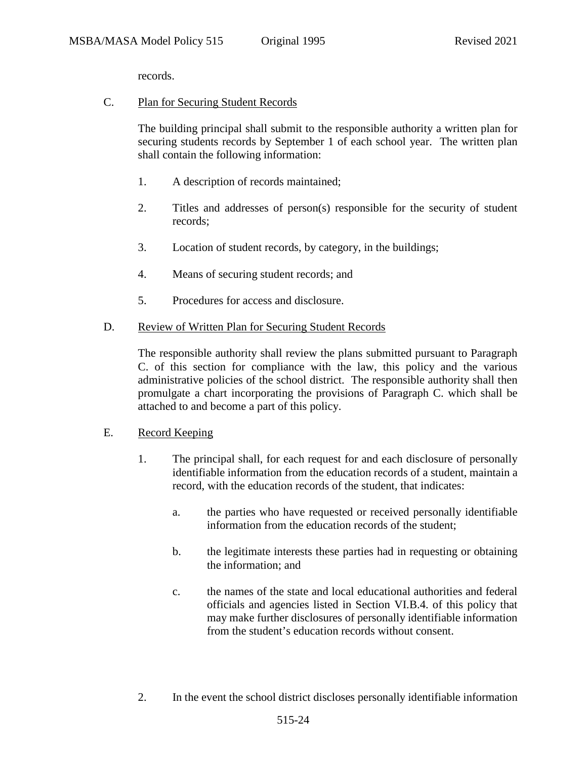records.

C. Plan for Securing Student Records

The building principal shall submit to the responsible authority a written plan for securing students records by September 1 of each school year. The written plan shall contain the following information:

- 1. A description of records maintained;
- 2. Titles and addresses of person(s) responsible for the security of student records;
- 3. Location of student records, by category, in the buildings;
- 4. Means of securing student records; and
- 5. Procedures for access and disclosure.

### D. Review of Written Plan for Securing Student Records

The responsible authority shall review the plans submitted pursuant to Paragraph C. of this section for compliance with the law, this policy and the various administrative policies of the school district. The responsible authority shall then promulgate a chart incorporating the provisions of Paragraph C. which shall be attached to and become a part of this policy.

#### E. Record Keeping

- 1. The principal shall, for each request for and each disclosure of personally identifiable information from the education records of a student, maintain a record, with the education records of the student, that indicates:
	- a. the parties who have requested or received personally identifiable information from the education records of the student;
	- b. the legitimate interests these parties had in requesting or obtaining the information; and
	- c. the names of the state and local educational authorities and federal officials and agencies listed in Section VI.B.4. of this policy that may make further disclosures of personally identifiable information from the student's education records without consent.
- 2. In the event the school district discloses personally identifiable information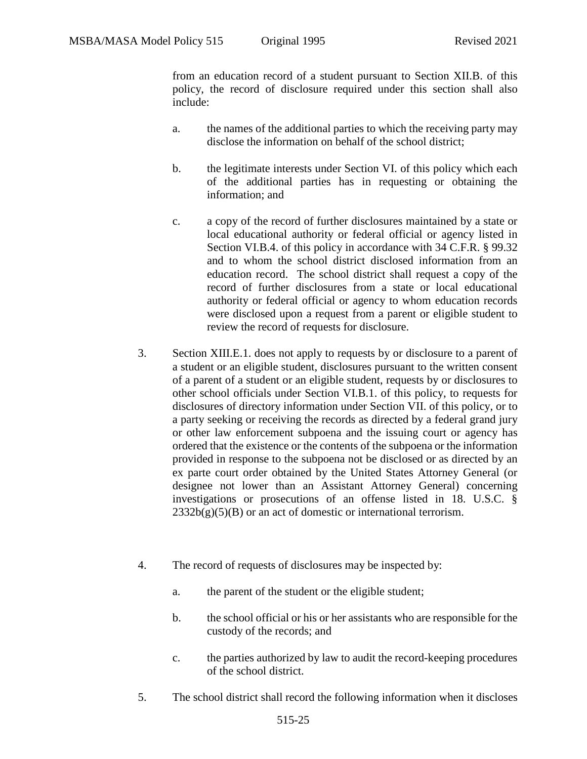from an education record of a student pursuant to Section XII.B. of this policy, the record of disclosure required under this section shall also include:

- a. the names of the additional parties to which the receiving party may disclose the information on behalf of the school district;
- b. the legitimate interests under Section VI. of this policy which each of the additional parties has in requesting or obtaining the information; and
- c. a copy of the record of further disclosures maintained by a state or local educational authority or federal official or agency listed in Section VI.B.4. of this policy in accordance with 34 C.F.R. § 99.32 and to whom the school district disclosed information from an education record. The school district shall request a copy of the record of further disclosures from a state or local educational authority or federal official or agency to whom education records were disclosed upon a request from a parent or eligible student to review the record of requests for disclosure.
- 3. Section XIII.E.1. does not apply to requests by or disclosure to a parent of a student or an eligible student, disclosures pursuant to the written consent of a parent of a student or an eligible student, requests by or disclosures to other school officials under Section VI.B.1. of this policy, to requests for disclosures of directory information under Section VII. of this policy, or to a party seeking or receiving the records as directed by a federal grand jury or other law enforcement subpoena and the issuing court or agency has ordered that the existence or the contents of the subpoena or the information provided in response to the subpoena not be disclosed or as directed by an ex parte court order obtained by the United States Attorney General (or designee not lower than an Assistant Attorney General) concerning investigations or prosecutions of an offense listed in 18. U.S.C. §  $2332b(g)(5)(B)$  or an act of domestic or international terrorism.
- 4. The record of requests of disclosures may be inspected by:
	- a. the parent of the student or the eligible student;
	- b. the school official or his or her assistants who are responsible for the custody of the records; and
	- c. the parties authorized by law to audit the record-keeping procedures of the school district.
- 5. The school district shall record the following information when it discloses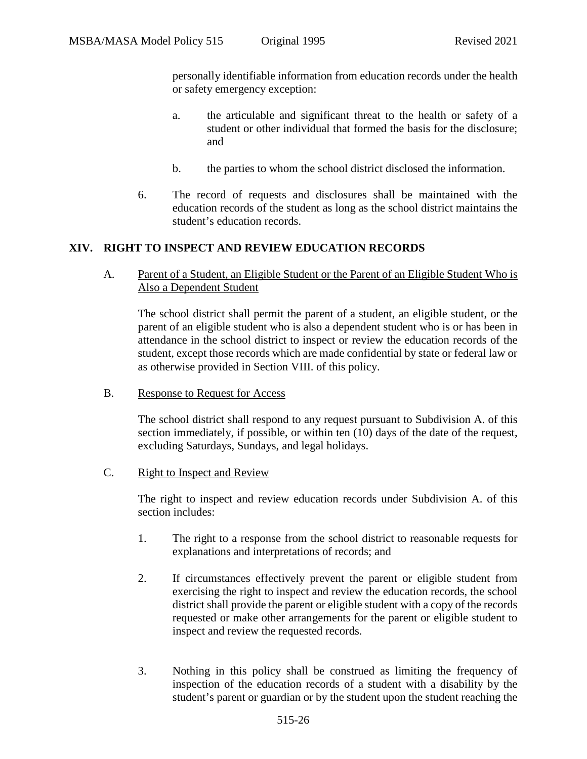personally identifiable information from education records under the health or safety emergency exception:

- a. the articulable and significant threat to the health or safety of a student or other individual that formed the basis for the disclosure; and
- b. the parties to whom the school district disclosed the information.
- 6. The record of requests and disclosures shall be maintained with the education records of the student as long as the school district maintains the student's education records.

# **XIV. RIGHT TO INSPECT AND REVIEW EDUCATION RECORDS**

A. Parent of a Student, an Eligible Student or the Parent of an Eligible Student Who is Also a Dependent Student

The school district shall permit the parent of a student, an eligible student, or the parent of an eligible student who is also a dependent student who is or has been in attendance in the school district to inspect or review the education records of the student, except those records which are made confidential by state or federal law or as otherwise provided in Section VIII. of this policy.

B. Response to Request for Access

The school district shall respond to any request pursuant to Subdivision A. of this section immediately, if possible, or within ten (10) days of the date of the request, excluding Saturdays, Sundays, and legal holidays.

C. Right to Inspect and Review

The right to inspect and review education records under Subdivision A. of this section includes:

- 1. The right to a response from the school district to reasonable requests for explanations and interpretations of records; and
- 2. If circumstances effectively prevent the parent or eligible student from exercising the right to inspect and review the education records, the school district shall provide the parent or eligible student with a copy of the records requested or make other arrangements for the parent or eligible student to inspect and review the requested records.
- 3. Nothing in this policy shall be construed as limiting the frequency of inspection of the education records of a student with a disability by the student's parent or guardian or by the student upon the student reaching the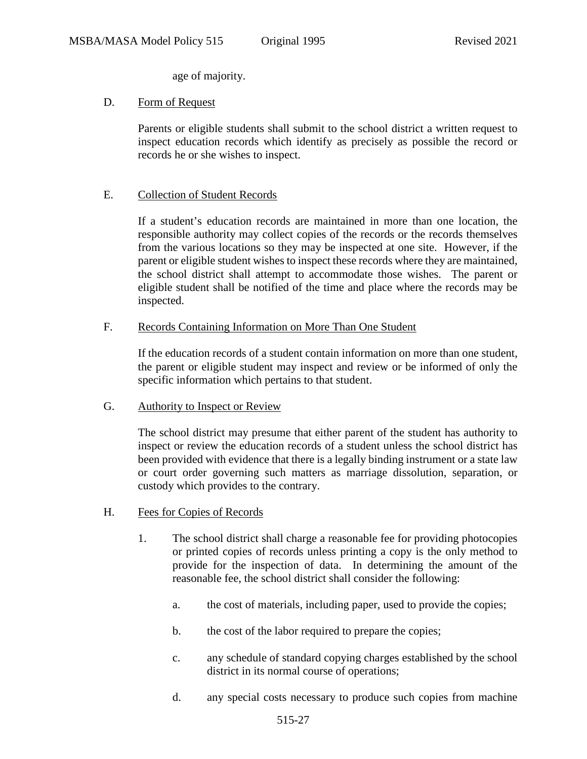age of majority.

### D. Form of Request

Parents or eligible students shall submit to the school district a written request to inspect education records which identify as precisely as possible the record or records he or she wishes to inspect.

### E. Collection of Student Records

If a student's education records are maintained in more than one location, the responsible authority may collect copies of the records or the records themselves from the various locations so they may be inspected at one site. However, if the parent or eligible student wishes to inspect these records where they are maintained, the school district shall attempt to accommodate those wishes. The parent or eligible student shall be notified of the time and place where the records may be inspected.

### F. Records Containing Information on More Than One Student

If the education records of a student contain information on more than one student, the parent or eligible student may inspect and review or be informed of only the specific information which pertains to that student.

#### G. Authority to Inspect or Review

The school district may presume that either parent of the student has authority to inspect or review the education records of a student unless the school district has been provided with evidence that there is a legally binding instrument or a state law or court order governing such matters as marriage dissolution, separation, or custody which provides to the contrary.

#### H. Fees for Copies of Records

- 1. The school district shall charge a reasonable fee for providing photocopies or printed copies of records unless printing a copy is the only method to provide for the inspection of data. In determining the amount of the reasonable fee, the school district shall consider the following:
	- a. the cost of materials, including paper, used to provide the copies;
	- b. the cost of the labor required to prepare the copies;
	- c. any schedule of standard copying charges established by the school district in its normal course of operations;
	- d. any special costs necessary to produce such copies from machine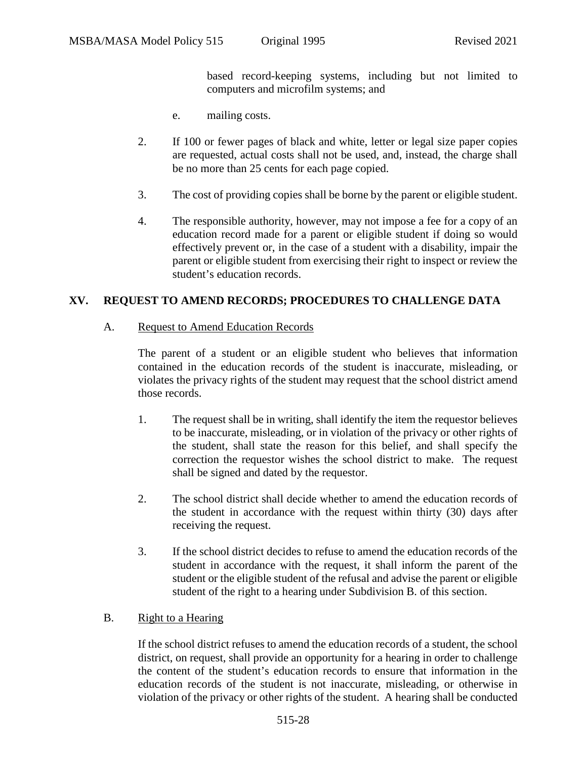based record-keeping systems, including but not limited to computers and microfilm systems; and

- e. mailing costs.
- 2. If 100 or fewer pages of black and white, letter or legal size paper copies are requested, actual costs shall not be used, and, instead, the charge shall be no more than 25 cents for each page copied.
- 3. The cost of providing copies shall be borne by the parent or eligible student.
- 4. The responsible authority, however, may not impose a fee for a copy of an education record made for a parent or eligible student if doing so would effectively prevent or, in the case of a student with a disability, impair the parent or eligible student from exercising their right to inspect or review the student's education records.

### **XV. REQUEST TO AMEND RECORDS; PROCEDURES TO CHALLENGE DATA**

#### A. Request to Amend Education Records

The parent of a student or an eligible student who believes that information contained in the education records of the student is inaccurate, misleading, or violates the privacy rights of the student may request that the school district amend those records.

- 1. The request shall be in writing, shall identify the item the requestor believes to be inaccurate, misleading, or in violation of the privacy or other rights of the student, shall state the reason for this belief, and shall specify the correction the requestor wishes the school district to make. The request shall be signed and dated by the requestor.
- 2. The school district shall decide whether to amend the education records of the student in accordance with the request within thirty (30) days after receiving the request.
- 3. If the school district decides to refuse to amend the education records of the student in accordance with the request, it shall inform the parent of the student or the eligible student of the refusal and advise the parent or eligible student of the right to a hearing under Subdivision B. of this section.

#### B. Right to a Hearing

If the school district refuses to amend the education records of a student, the school district, on request, shall provide an opportunity for a hearing in order to challenge the content of the student's education records to ensure that information in the education records of the student is not inaccurate, misleading, or otherwise in violation of the privacy or other rights of the student. A hearing shall be conducted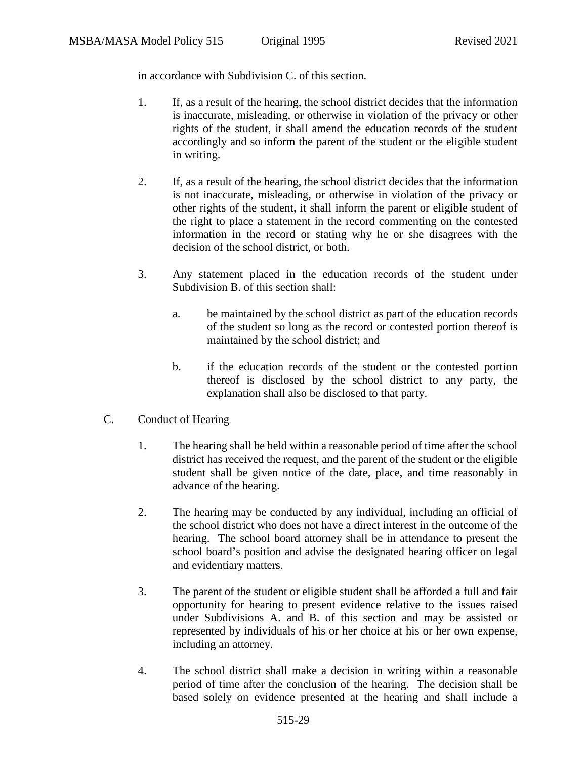in accordance with Subdivision C. of this section.

- 1. If, as a result of the hearing, the school district decides that the information is inaccurate, misleading, or otherwise in violation of the privacy or other rights of the student, it shall amend the education records of the student accordingly and so inform the parent of the student or the eligible student in writing.
- 2. If, as a result of the hearing, the school district decides that the information is not inaccurate, misleading, or otherwise in violation of the privacy or other rights of the student, it shall inform the parent or eligible student of the right to place a statement in the record commenting on the contested information in the record or stating why he or she disagrees with the decision of the school district, or both.
- 3. Any statement placed in the education records of the student under Subdivision B. of this section shall:
	- a. be maintained by the school district as part of the education records of the student so long as the record or contested portion thereof is maintained by the school district; and
	- b. if the education records of the student or the contested portion thereof is disclosed by the school district to any party, the explanation shall also be disclosed to that party.

## C. Conduct of Hearing

- 1. The hearing shall be held within a reasonable period of time after the school district has received the request, and the parent of the student or the eligible student shall be given notice of the date, place, and time reasonably in advance of the hearing.
- 2. The hearing may be conducted by any individual, including an official of the school district who does not have a direct interest in the outcome of the hearing. The school board attorney shall be in attendance to present the school board's position and advise the designated hearing officer on legal and evidentiary matters.
- 3. The parent of the student or eligible student shall be afforded a full and fair opportunity for hearing to present evidence relative to the issues raised under Subdivisions A. and B. of this section and may be assisted or represented by individuals of his or her choice at his or her own expense, including an attorney.
- 4. The school district shall make a decision in writing within a reasonable period of time after the conclusion of the hearing. The decision shall be based solely on evidence presented at the hearing and shall include a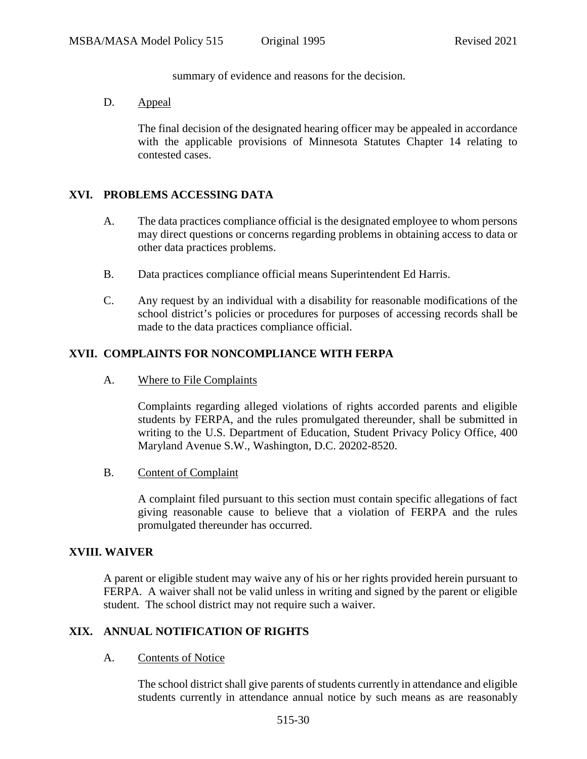summary of evidence and reasons for the decision.

D. Appeal

The final decision of the designated hearing officer may be appealed in accordance with the applicable provisions of Minnesota Statutes Chapter 14 relating to contested cases.

## **XVI. PROBLEMS ACCESSING DATA**

- A. The data practices compliance official is the designated employee to whom persons may direct questions or concerns regarding problems in obtaining access to data or other data practices problems.
- B. Data practices compliance official means Superintendent Ed Harris.
- C. Any request by an individual with a disability for reasonable modifications of the school district's policies or procedures for purposes of accessing records shall be made to the data practices compliance official.

## **XVII. COMPLAINTS FOR NONCOMPLIANCE WITH FERPA**

A. Where to File Complaints

Complaints regarding alleged violations of rights accorded parents and eligible students by FERPA, and the rules promulgated thereunder, shall be submitted in writing to the U.S. Department of Education, Student Privacy Policy Office, 400 Maryland Avenue S.W., Washington, D.C. 20202-8520.

B. Content of Complaint

A complaint filed pursuant to this section must contain specific allegations of fact giving reasonable cause to believe that a violation of FERPA and the rules promulgated thereunder has occurred.

#### **XVIII. WAIVER**

A parent or eligible student may waive any of his or her rights provided herein pursuant to FERPA. A waiver shall not be valid unless in writing and signed by the parent or eligible student. The school district may not require such a waiver.

## **XIX. ANNUAL NOTIFICATION OF RIGHTS**

A. Contents of Notice

The school district shall give parents of students currently in attendance and eligible students currently in attendance annual notice by such means as are reasonably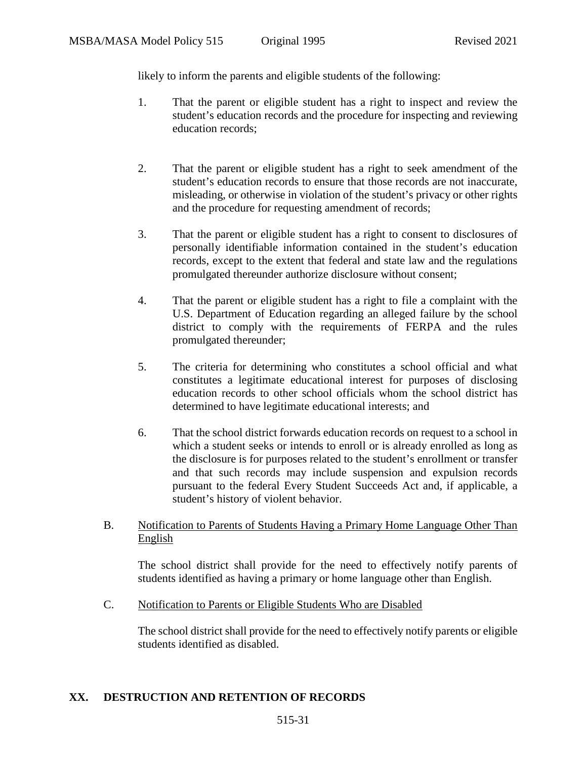likely to inform the parents and eligible students of the following:

- 1. That the parent or eligible student has a right to inspect and review the student's education records and the procedure for inspecting and reviewing education records;
- 2. That the parent or eligible student has a right to seek amendment of the student's education records to ensure that those records are not inaccurate, misleading, or otherwise in violation of the student's privacy or other rights and the procedure for requesting amendment of records;
- 3. That the parent or eligible student has a right to consent to disclosures of personally identifiable information contained in the student's education records, except to the extent that federal and state law and the regulations promulgated thereunder authorize disclosure without consent;
- 4. That the parent or eligible student has a right to file a complaint with the U.S. Department of Education regarding an alleged failure by the school district to comply with the requirements of FERPA and the rules promulgated thereunder;
- 5. The criteria for determining who constitutes a school official and what constitutes a legitimate educational interest for purposes of disclosing education records to other school officials whom the school district has determined to have legitimate educational interests; and
- 6. That the school district forwards education records on request to a school in which a student seeks or intends to enroll or is already enrolled as long as the disclosure is for purposes related to the student's enrollment or transfer and that such records may include suspension and expulsion records pursuant to the federal Every Student Succeeds Act and, if applicable, a student's history of violent behavior.
- B. Notification to Parents of Students Having a Primary Home Language Other Than English

The school district shall provide for the need to effectively notify parents of students identified as having a primary or home language other than English.

C. Notification to Parents or Eligible Students Who are Disabled

The school district shall provide for the need to effectively notify parents or eligible students identified as disabled.

## **XX. DESTRUCTION AND RETENTION OF RECORDS**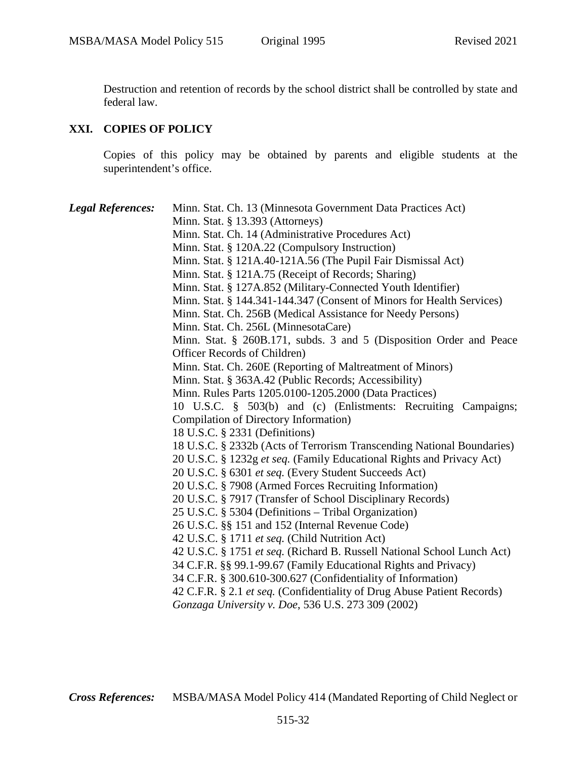Destruction and retention of records by the school district shall be controlled by state and federal law.

# **XXI. COPIES OF POLICY**

Copies of this policy may be obtained by parents and eligible students at the superintendent's office.

| <b>Legal References:</b> | Minn. Stat. Ch. 13 (Minnesota Government Data Practices Act)            |
|--------------------------|-------------------------------------------------------------------------|
|                          | Minn. Stat. $\S$ 13.393 (Attorneys)                                     |
|                          | Minn. Stat. Ch. 14 (Administrative Procedures Act)                      |
|                          | Minn. Stat. § 120A.22 (Compulsory Instruction)                          |
|                          | Minn. Stat. § 121A.40-121A.56 (The Pupil Fair Dismissal Act)            |
|                          | Minn. Stat. § 121A.75 (Receipt of Records; Sharing)                     |
|                          | Minn. Stat. § 127A.852 (Military-Connected Youth Identifier)            |
|                          | Minn. Stat. § 144.341-144.347 (Consent of Minors for Health Services)   |
|                          | Minn. Stat. Ch. 256B (Medical Assistance for Needy Persons)             |
|                          | Minn. Stat. Ch. 256L (MinnesotaCare)                                    |
|                          | Minn. Stat. § 260B.171, subds. 3 and 5 (Disposition Order and Peace     |
|                          | Officer Records of Children)                                            |
|                          | Minn. Stat. Ch. 260E (Reporting of Maltreatment of Minors)              |
|                          | Minn. Stat. § 363A.42 (Public Records; Accessibility)                   |
|                          | Minn. Rules Parts 1205.0100-1205.2000 (Data Practices)                  |
|                          | 10 U.S.C. § 503(b) and (c) (Enlistments: Recruiting Campaigns;          |
|                          | Compilation of Directory Information)                                   |
|                          | 18 U.S.C. § 2331 (Definitions)                                          |
|                          | 18 U.S.C. § 2332b (Acts of Terrorism Transcending National Boundaries)  |
|                          | 20 U.S.C. § 1232g et seq. (Family Educational Rights and Privacy Act)   |
|                          | 20 U.S.C. § 6301 et seq. (Every Student Succeeds Act)                   |
|                          | 20 U.S.C. § 7908 (Armed Forces Recruiting Information)                  |
|                          | 20 U.S.C. § 7917 (Transfer of School Disciplinary Records)              |
|                          | 25 U.S.C. § 5304 (Definitions - Tribal Organization)                    |
|                          | 26 U.S.C. §§ 151 and 152 (Internal Revenue Code)                        |
|                          | 42 U.S.C. § 1711 et seq. (Child Nutrition Act)                          |
|                          | 42 U.S.C. § 1751 et seq. (Richard B. Russell National School Lunch Act) |
|                          | 34 C.F.R. §§ 99.1-99.67 (Family Educational Rights and Privacy)         |
|                          | 34 C.F.R. § 300.610-300.627 (Confidentiality of Information)            |
|                          | 42 C.F.R. § 2.1 et seq. (Confidentiality of Drug Abuse Patient Records) |
|                          | Gonzaga University v. Doe, 536 U.S. 273 309 (2002)                      |